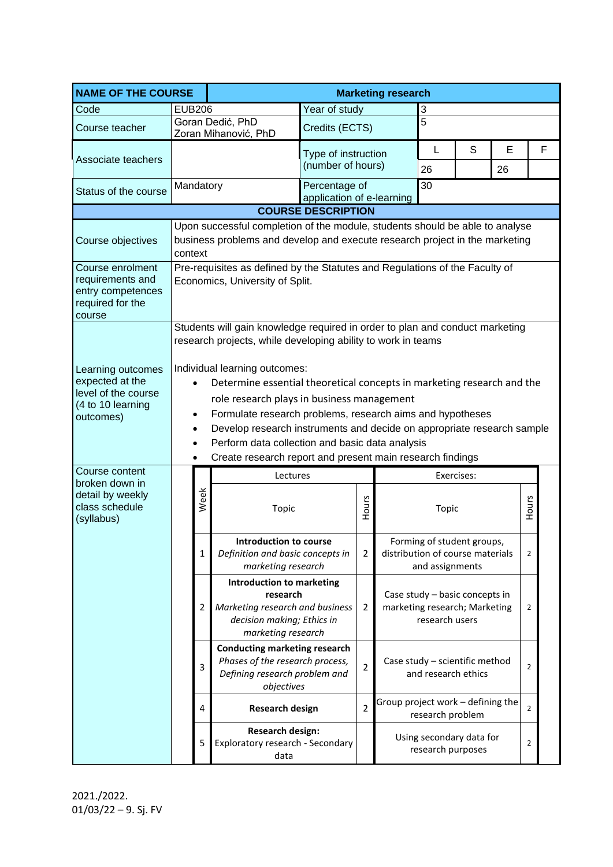| <b>NAME OF THE COURSE</b>                                                                     | <b>Marketing research</b>                                                                                                                                                                                                                                                                                                                                                                                                                                                                            |                                                                                                                                                                        |                                                                                                                                     |                                          |                   |   |                                                                                   |   |                     |   |  |       |  |
|-----------------------------------------------------------------------------------------------|------------------------------------------------------------------------------------------------------------------------------------------------------------------------------------------------------------------------------------------------------------------------------------------------------------------------------------------------------------------------------------------------------------------------------------------------------------------------------------------------------|------------------------------------------------------------------------------------------------------------------------------------------------------------------------|-------------------------------------------------------------------------------------------------------------------------------------|------------------------------------------|-------------------|---|-----------------------------------------------------------------------------------|---|---------------------|---|--|-------|--|
| Code                                                                                          | <b>EUB206</b>                                                                                                                                                                                                                                                                                                                                                                                                                                                                                        |                                                                                                                                                                        |                                                                                                                                     | Year of study<br>3                       |                   |   |                                                                                   |   |                     |   |  |       |  |
| Course teacher                                                                                | 5<br>Goran Dedić, PhD<br>Credits (ECTS)<br>Zoran Mihanović, PhD                                                                                                                                                                                                                                                                                                                                                                                                                                      |                                                                                                                                                                        |                                                                                                                                     |                                          |                   |   |                                                                                   |   |                     |   |  |       |  |
| Associate teachers                                                                            |                                                                                                                                                                                                                                                                                                                                                                                                                                                                                                      |                                                                                                                                                                        |                                                                                                                                     | Type of instruction<br>(number of hours) |                   | L | S                                                                                 | E |                     | F |  |       |  |
| Status of the course                                                                          | Mandatory                                                                                                                                                                                                                                                                                                                                                                                                                                                                                            |                                                                                                                                                                        |                                                                                                                                     | Percentage of                            |                   |   | 26<br>30                                                                          |   | 26                  |   |  |       |  |
|                                                                                               | application of e-learning                                                                                                                                                                                                                                                                                                                                                                                                                                                                            |                                                                                                                                                                        |                                                                                                                                     |                                          |                   |   |                                                                                   |   |                     |   |  |       |  |
|                                                                                               |                                                                                                                                                                                                                                                                                                                                                                                                                                                                                                      |                                                                                                                                                                        |                                                                                                                                     | <b>COURSE DESCRIPTION</b>                |                   |   |                                                                                   |   |                     |   |  |       |  |
| Course objectives                                                                             |                                                                                                                                                                                                                                                                                                                                                                                                                                                                                                      | Upon successful completion of the module, students should be able to analyse<br>business problems and develop and execute research project in the marketing<br>context |                                                                                                                                     |                                          |                   |   |                                                                                   |   |                     |   |  |       |  |
| Course enrolment<br>requirements and<br>entry competences<br>required for the<br>course       |                                                                                                                                                                                                                                                                                                                                                                                                                                                                                                      | Pre-requisites as defined by the Statutes and Regulations of the Faculty of<br>Economics, University of Split.                                                         |                                                                                                                                     |                                          |                   |   |                                                                                   |   |                     |   |  |       |  |
| Learning outcomes<br>expected at the<br>level of the course<br>(4 to 10 learning<br>outcomes) | Students will gain knowledge required in order to plan and conduct marketing<br>research projects, while developing ability to work in teams<br>Individual learning outcomes:<br>Determine essential theoretical concepts in marketing research and the<br>role research plays in business management<br>Formulate research problems, research aims and hypotheses<br>Develop research instruments and decide on appropriate research sample<br>٠<br>Perform data collection and basic data analysis |                                                                                                                                                                        |                                                                                                                                     |                                          |                   |   |                                                                                   |   |                     |   |  |       |  |
| Course content                                                                                | Create research report and present main research findings                                                                                                                                                                                                                                                                                                                                                                                                                                            |                                                                                                                                                                        |                                                                                                                                     |                                          |                   |   |                                                                                   |   |                     |   |  |       |  |
| broken down in<br>detail by weekly<br>class schedule<br>(syllabus)                            |                                                                                                                                                                                                                                                                                                                                                                                                                                                                                                      |                                                                                                                                                                        |                                                                                                                                     | Week                                     | Lectures<br>Topic |   | Hours                                                                             |   | Exercises:<br>Topic |   |  | Hours |  |
|                                                                                               |                                                                                                                                                                                                                                                                                                                                                                                                                                                                                                      | 1                                                                                                                                                                      | Introduction to course<br>Definition and basic concepts in<br>marketing research                                                    |                                          | $\overline{2}$    |   | Forming of student groups,<br>distribution of course materials<br>and assignments |   |                     | 2 |  |       |  |
|                                                                                               |                                                                                                                                                                                                                                                                                                                                                                                                                                                                                                      | 2                                                                                                                                                                      | <b>Introduction to marketing</b><br>research<br>Marketing research and business<br>decision making; Ethics in<br>marketing research |                                          | $\overline{2}$    |   | Case study - basic concepts in<br>marketing research; Marketing<br>research users |   |                     | 2 |  |       |  |
|                                                                                               |                                                                                                                                                                                                                                                                                                                                                                                                                                                                                                      | 3                                                                                                                                                                      | <b>Conducting marketing research</b><br>Phases of the research process,<br>Defining research problem and<br>objectives              |                                          | $\overline{2}$    |   | Case study - scientific method<br>and research ethics                             |   |                     | 2 |  |       |  |
|                                                                                               | Group project work - defining the<br>$\overline{2}$<br><b>Research design</b><br>4<br>research problem                                                                                                                                                                                                                                                                                                                                                                                               |                                                                                                                                                                        |                                                                                                                                     |                                          |                   |   |                                                                                   | 2 |                     |   |  |       |  |
|                                                                                               |                                                                                                                                                                                                                                                                                                                                                                                                                                                                                                      | 5                                                                                                                                                                      | <b>Research design:</b><br>Exploratory research - Secondary<br>data                                                                 |                                          |                   |   | Using secondary data for<br>research purposes                                     |   |                     | 2 |  |       |  |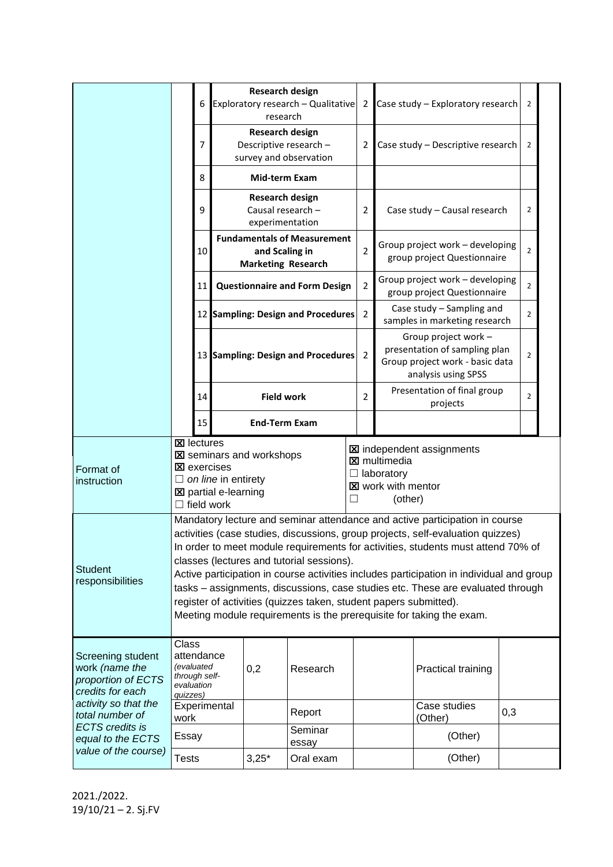|                                                                                                                               |                                                                                                                                                                                                                                                                                                                                                                                                                                                                                                                                                                                                                             | 6  | <b>Research design</b><br>Exploratory research - Qualitative<br>research          |                  |                | Case study - Exploratory research                                                                                    | $\overline{2}$ |  |  |  |
|-------------------------------------------------------------------------------------------------------------------------------|-----------------------------------------------------------------------------------------------------------------------------------------------------------------------------------------------------------------------------------------------------------------------------------------------------------------------------------------------------------------------------------------------------------------------------------------------------------------------------------------------------------------------------------------------------------------------------------------------------------------------------|----|-----------------------------------------------------------------------------------|------------------|----------------|----------------------------------------------------------------------------------------------------------------------|----------------|--|--|--|
|                                                                                                                               |                                                                                                                                                                                                                                                                                                                                                                                                                                                                                                                                                                                                                             | 7  | <b>Research design</b><br>Descriptive research -<br>survey and observation        |                  | 2              | Case study - Descriptive research                                                                                    |                |  |  |  |
|                                                                                                                               |                                                                                                                                                                                                                                                                                                                                                                                                                                                                                                                                                                                                                             | 8  | Mid-term Exam                                                                     |                  |                |                                                                                                                      |                |  |  |  |
|                                                                                                                               |                                                                                                                                                                                                                                                                                                                                                                                                                                                                                                                                                                                                                             | 9  | <b>Research design</b><br>Causal research -<br>experimentation                    |                  | 2              | Case study - Causal research                                                                                         | 2              |  |  |  |
|                                                                                                                               |                                                                                                                                                                                                                                                                                                                                                                                                                                                                                                                                                                                                                             | 10 | <b>Fundamentals of Measurement</b><br>and Scaling in<br><b>Marketing Research</b> |                  | $\overline{2}$ | Group project work - developing<br>group project Questionnaire                                                       | $\overline{2}$ |  |  |  |
|                                                                                                                               |                                                                                                                                                                                                                                                                                                                                                                                                                                                                                                                                                                                                                             | 11 | <b>Questionnaire and Form Design</b>                                              |                  | $\overline{2}$ | Group project work - developing<br>group project Questionnaire                                                       |                |  |  |  |
|                                                                                                                               |                                                                                                                                                                                                                                                                                                                                                                                                                                                                                                                                                                                                                             |    | 12 Sampling: Design and Procedures                                                |                  | $\overline{2}$ | Case study - Sampling and<br>samples in marketing research                                                           | $\overline{2}$ |  |  |  |
|                                                                                                                               |                                                                                                                                                                                                                                                                                                                                                                                                                                                                                                                                                                                                                             |    | 13 Sampling: Design and Procedures 2                                              |                  |                | Group project work -<br>presentation of sampling plan<br>Group project work - basic data<br>analysis using SPSS      |                |  |  |  |
|                                                                                                                               |                                                                                                                                                                                                                                                                                                                                                                                                                                                                                                                                                                                                                             | 14 | <b>Field work</b>                                                                 |                  | $\overline{2}$ | Presentation of final group<br>projects                                                                              |                |  |  |  |
|                                                                                                                               |                                                                                                                                                                                                                                                                                                                                                                                                                                                                                                                                                                                                                             | 15 | <b>End-Term Exam</b>                                                              |                  |                |                                                                                                                      |                |  |  |  |
| Format of<br>instruction                                                                                                      | <b>区</b> lectures<br><b>X</b> seminars and workshops<br><b>X</b> exercises<br>$\Box$ on line in entirety<br><b>図</b> partial e-learning<br>$\Box$ field work                                                                                                                                                                                                                                                                                                                                                                                                                                                                |    |                                                                                   |                  | ⊔              | <b>X</b> independent assignments<br><b>X</b> multimedia<br>$\Box$ laboratory<br><b>図</b> work with mentor<br>(other) |                |  |  |  |
| <b>Student</b><br>responsibilities                                                                                            | Mandatory lecture and seminar attendance and active participation in course<br>activities (case studies, discussions, group projects, self-evaluation quizzes)<br>In order to meet module requirements for activities, students must attend 70% of<br>classes (lectures and tutorial sessions).<br>Active participation in course activities includes participation in individual and group<br>tasks - assignments, discussions, case studies etc. These are evaluated through<br>register of activities (quizzes taken, student papers submitted).<br>Meeting module requirements is the prerequisite for taking the exam. |    |                                                                                   |                  |                |                                                                                                                      |                |  |  |  |
| Class<br>attendance<br>Screening student<br>(evaluated<br>work (name the<br>through self-<br>proportion of ECTS<br>evaluation |                                                                                                                                                                                                                                                                                                                                                                                                                                                                                                                                                                                                                             |    |                                                                                   |                  |                |                                                                                                                      |                |  |  |  |
| credits for each                                                                                                              | quizzes)                                                                                                                                                                                                                                                                                                                                                                                                                                                                                                                                                                                                                    |    | 0,2                                                                               | Research         |                | Practical training                                                                                                   |                |  |  |  |
| activity so that the<br>total number of                                                                                       | work                                                                                                                                                                                                                                                                                                                                                                                                                                                                                                                                                                                                                        |    | Experimental                                                                      | Report           |                | Case studies<br>0,3<br>(Other)                                                                                       |                |  |  |  |
| <b>ECTS</b> credits is<br>equal to the ECTS<br>value of the course)                                                           | Essay                                                                                                                                                                                                                                                                                                                                                                                                                                                                                                                                                                                                                       |    |                                                                                   | Seminar<br>essay |                | (Other)                                                                                                              |                |  |  |  |

2021./2022. 19/10/21 – 2. Sj.FV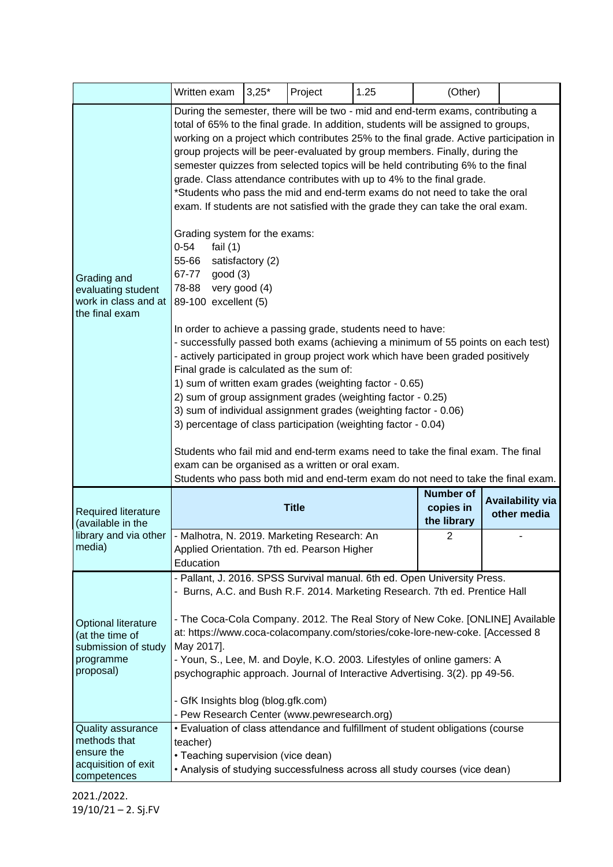|                                                                                         | Written exam                                                                                                                                                                                                                                                                                                                                                                                                                                                                                                                                                                                                                                                                                                                                                                                                                                                                                                                                                                                                                                                                                                                                                                                                                                                                                                                                                                                                                                                                                                                    | $3,25*$                                      | Project | 1.25                                   | (Other)        |  |  |
|-----------------------------------------------------------------------------------------|---------------------------------------------------------------------------------------------------------------------------------------------------------------------------------------------------------------------------------------------------------------------------------------------------------------------------------------------------------------------------------------------------------------------------------------------------------------------------------------------------------------------------------------------------------------------------------------------------------------------------------------------------------------------------------------------------------------------------------------------------------------------------------------------------------------------------------------------------------------------------------------------------------------------------------------------------------------------------------------------------------------------------------------------------------------------------------------------------------------------------------------------------------------------------------------------------------------------------------------------------------------------------------------------------------------------------------------------------------------------------------------------------------------------------------------------------------------------------------------------------------------------------------|----------------------------------------------|---------|----------------------------------------|----------------|--|--|
| Grading and<br>evaluating student<br>work in class and at<br>the final exam             | During the semester, there will be two - mid and end-term exams, contributing a<br>total of 65% to the final grade. In addition, students will be assigned to groups,<br>working on a project which contributes 25% to the final grade. Active participation in<br>group projects will be peer-evaluated by group members. Finally, during the<br>semester quizzes from selected topics will be held contributing 6% to the final<br>grade. Class attendance contributes with up to 4% to the final grade.<br>*Students who pass the mid and end-term exams do not need to take the oral<br>exam. If students are not satisfied with the grade they can take the oral exam.<br>Grading system for the exams:<br>$0 - 54$<br>fail $(1)$<br>55-66<br>satisfactory (2)<br>67-77<br>good(3)<br>78-88 very good (4)<br>89-100 excellent (5)<br>In order to achieve a passing grade, students need to have:<br>- successfully passed both exams (achieving a minimum of 55 points on each test)<br>- actively participated in group project work which have been graded positively<br>Final grade is calculated as the sum of:<br>1) sum of written exam grades (weighting factor - 0.65)<br>2) sum of group assignment grades (weighting factor - 0.25)<br>3) sum of individual assignment grades (weighting factor - 0.06)<br>3) percentage of class participation (weighting factor - 0.04)<br>Students who fail mid and end-term exams need to take the final exam. The final<br>exam can be organised as a written or oral exam. |                                              |         |                                        |                |  |  |
| <b>Required literature</b><br>(available in the<br>library and via other<br>media)      |                                                                                                                                                                                                                                                                                                                                                                                                                                                                                                                                                                                                                                                                                                                                                                                                                                                                                                                                                                                                                                                                                                                                                                                                                                                                                                                                                                                                                                                                                                                                 | <b>Number of</b><br>copies in<br>the library |         | <b>Availability via</b><br>other media |                |  |  |
|                                                                                         | - Malhotra, N. 2019. Marketing Research: An<br>Applied Orientation. 7th ed. Pearson Higher<br>Education                                                                                                                                                                                                                                                                                                                                                                                                                                                                                                                                                                                                                                                                                                                                                                                                                                                                                                                                                                                                                                                                                                                                                                                                                                                                                                                                                                                                                         |                                              |         |                                        | $\overline{2}$ |  |  |
| Optional literature<br>(at the time of<br>submission of study<br>programme<br>proposal) | - Pallant, J. 2016. SPSS Survival manual. 6th ed. Open University Press.<br>- Burns, A.C. and Bush R.F. 2014. Marketing Research. 7th ed. Prentice Hall<br>- The Coca-Cola Company. 2012. The Real Story of New Coke. [ONLINE] Available<br>at: https://www.coca-colacompany.com/stories/coke-lore-new-coke. [Accessed 8<br>May 2017].<br>- Youn, S., Lee, M. and Doyle, K.O. 2003. Lifestyles of online gamers: A<br>psychographic approach. Journal of Interactive Advertising. 3(2). pp 49-56.<br>- GfK Insights blog (blog.gfk.com)<br>- Pew Research Center (www.pewresearch.org)                                                                                                                                                                                                                                                                                                                                                                                                                                                                                                                                                                                                                                                                                                                                                                                                                                                                                                                                          |                                              |         |                                        |                |  |  |
| Quality assurance<br>methods that<br>ensure the<br>acquisition of exit<br>competences   | . Evaluation of class attendance and fulfillment of student obligations (course<br>teacher)<br>• Teaching supervision (vice dean)<br>• Analysis of studying successfulness across all study courses (vice dean)                                                                                                                                                                                                                                                                                                                                                                                                                                                                                                                                                                                                                                                                                                                                                                                                                                                                                                                                                                                                                                                                                                                                                                                                                                                                                                                 |                                              |         |                                        |                |  |  |

2021./2022. 19/10/21 – 2. Sj.FV